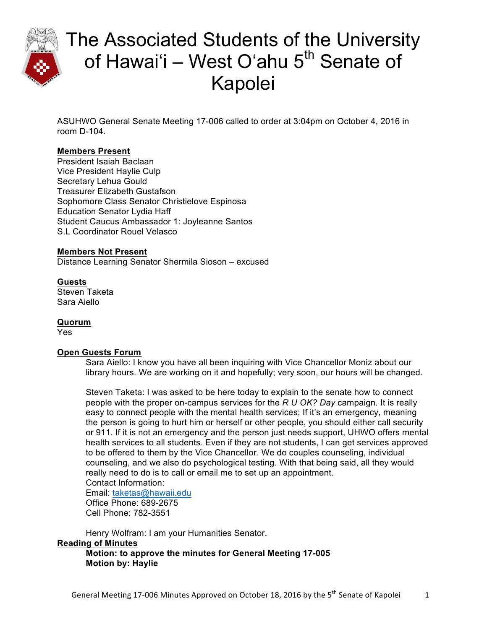

ASUHWO General Senate Meeting 17-006 called to order at 3:04pm on October 4, 2016 in room D-104.

### **Members Present**

President Isaiah Baclaan Vice President Haylie Culp Secretary Lehua Gould Treasurer Elizabeth Gustafson Sophomore Class Senator Christielove Espinosa Education Senator Lydia Haff Student Caucus Ambassador 1: Joyleanne Santos S.L Coordinator Rouel Velasco

### **Members Not Present**

Distance Learning Senator Shermila Sioson – excused

### **Guests**

Steven Taketa Sara Aiello

### **Quorum**

Yes

### **Open Guests Forum**

Sara Aiello: I know you have all been inquiring with Vice Chancellor Moniz about our library hours. We are working on it and hopefully; very soon, our hours will be changed.

Steven Taketa: I was asked to be here today to explain to the senate how to connect people with the proper on-campus services for the *R U OK? Day* campaign. It is really easy to connect people with the mental health services; If it's an emergency, meaning the person is going to hurt him or herself or other people, you should either call security or 911. If it is not an emergency and the person just needs support, UHWO offers mental health services to all students. Even if they are not students, I can get services approved to be offered to them by the Vice Chancellor. We do couples counseling, individual counseling, and we also do psychological testing. With that being said, all they would really need to do is to call or email me to set up an appointment. Contact Information:

Email: taketas@hawaii.edu Office Phone: 689-2675 Cell Phone: 782-3551

Henry Wolfram: I am your Humanities Senator.

### **Reading of Minutes**

**Motion: to approve the minutes for General Meeting 17-005 Motion by: Haylie**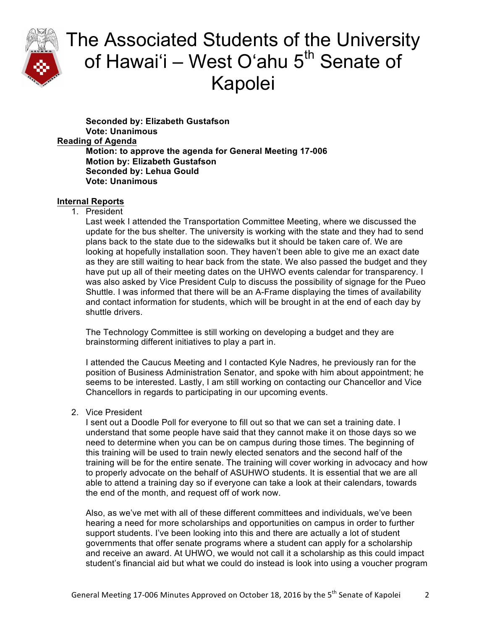

**Seconded by: Elizabeth Gustafson Vote: Unanimous Reading of Agenda Motion: to approve the agenda for General Meeting 17-006 Motion by: Elizabeth Gustafson Seconded by: Lehua Gould Vote: Unanimous**

### **Internal Reports**

1. President

Last week I attended the Transportation Committee Meeting, where we discussed the update for the bus shelter. The university is working with the state and they had to send plans back to the state due to the sidewalks but it should be taken care of. We are looking at hopefully installation soon. They haven't been able to give me an exact date as they are still waiting to hear back from the state. We also passed the budget and they have put up all of their meeting dates on the UHWO events calendar for transparency. I was also asked by Vice President Culp to discuss the possibility of signage for the Pueo Shuttle. I was informed that there will be an A-Frame displaying the times of availability and contact information for students, which will be brought in at the end of each day by shuttle drivers.

The Technology Committee is still working on developing a budget and they are brainstorming different initiatives to play a part in.

I attended the Caucus Meeting and I contacted Kyle Nadres, he previously ran for the position of Business Administration Senator, and spoke with him about appointment; he seems to be interested. Lastly, I am still working on contacting our Chancellor and Vice Chancellors in regards to participating in our upcoming events.

2. Vice President

I sent out a Doodle Poll for everyone to fill out so that we can set a training date. I understand that some people have said that they cannot make it on those days so we need to determine when you can be on campus during those times. The beginning of this training will be used to train newly elected senators and the second half of the training will be for the entire senate. The training will cover working in advocacy and how to properly advocate on the behalf of ASUHWO students. It is essential that we are all able to attend a training day so if everyone can take a look at their calendars, towards the end of the month, and request off of work now.

Also, as we've met with all of these different committees and individuals, we've been hearing a need for more scholarships and opportunities on campus in order to further support students. I've been looking into this and there are actually a lot of student governments that offer senate programs where a student can apply for a scholarship and receive an award. At UHWO, we would not call it a scholarship as this could impact student's financial aid but what we could do instead is look into using a voucher program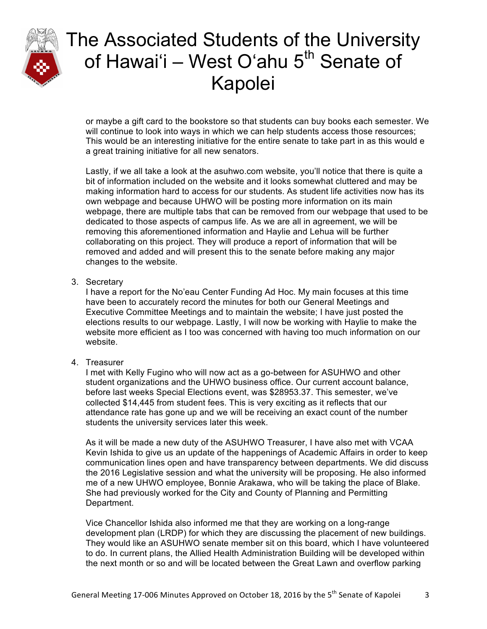

or maybe a gift card to the bookstore so that students can buy books each semester. We will continue to look into ways in which we can help students access those resources; This would be an interesting initiative for the entire senate to take part in as this would e a great training initiative for all new senators.

Lastly, if we all take a look at the asuhwo.com website, you'll notice that there is quite a bit of information included on the website and it looks somewhat cluttered and may be making information hard to access for our students. As student life activities now has its own webpage and because UHWO will be posting more information on its main webpage, there are multiple tabs that can be removed from our webpage that used to be dedicated to those aspects of campus life. As we are all in agreement, we will be removing this aforementioned information and Haylie and Lehua will be further collaborating on this project. They will produce a report of information that will be removed and added and will present this to the senate before making any major changes to the website.

3. Secretary

I have a report for the No'eau Center Funding Ad Hoc. My main focuses at this time have been to accurately record the minutes for both our General Meetings and Executive Committee Meetings and to maintain the website; I have just posted the elections results to our webpage. Lastly, I will now be working with Haylie to make the website more efficient as I too was concerned with having too much information on our website.

4. Treasurer

I met with Kelly Fugino who will now act as a go-between for ASUHWO and other student organizations and the UHWO business office. Our current account balance, before last weeks Special Elections event, was \$28953.37. This semester, we've collected \$14,445 from student fees. This is very exciting as it reflects that our attendance rate has gone up and we will be receiving an exact count of the number students the university services later this week.

As it will be made a new duty of the ASUHWO Treasurer, I have also met with VCAA Kevin Ishida to give us an update of the happenings of Academic Affairs in order to keep communication lines open and have transparency between departments. We did discuss the 2016 Legislative session and what the university will be proposing. He also informed me of a new UHWO employee, Bonnie Arakawa, who will be taking the place of Blake. She had previously worked for the City and County of Planning and Permitting Department.

Vice Chancellor Ishida also informed me that they are working on a long-range development plan (LRDP) for which they are discussing the placement of new buildings. They would like an ASUHWO senate member sit on this board, which I have volunteered to do. In current plans, the Allied Health Administration Building will be developed within the next month or so and will be located between the Great Lawn and overflow parking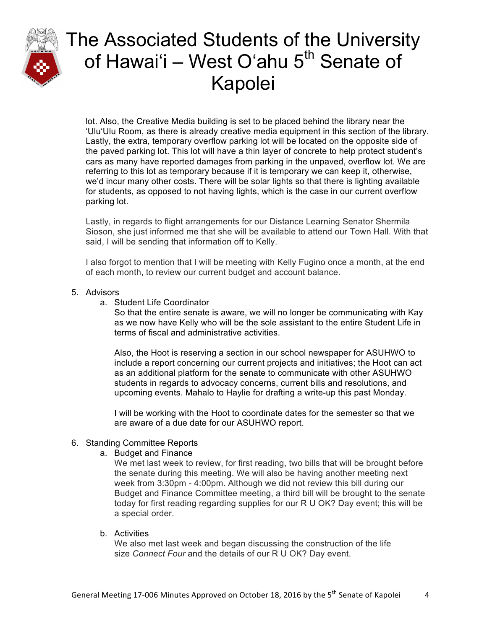

lot. Also, the Creative Media building is set to be placed behind the library near the ʻUluʻUlu Room, as there is already creative media equipment in this section of the library. Lastly, the extra, temporary overflow parking lot will be located on the opposite side of the paved parking lot. This lot will have a thin layer of concrete to help protect student's cars as many have reported damages from parking in the unpaved, overflow lot. We are referring to this lot as temporary because if it is temporary we can keep it, otherwise, we'd incur many other costs. There will be solar lights so that there is lighting available for students, as opposed to not having lights, which is the case in our current overflow parking lot.

Lastly, in regards to flight arrangements for our Distance Learning Senator Shermila Sioson, she just informed me that she will be available to attend our Town Hall. With that said, I will be sending that information off to Kelly.

I also forgot to mention that I will be meeting with Kelly Fugino once a month, at the end of each month, to review our current budget and account balance.

### 5. Advisors

a. Student Life Coordinator

So that the entire senate is aware, we will no longer be communicating with Kay as we now have Kelly who will be the sole assistant to the entire Student Life in terms of fiscal and administrative activities.

Also, the Hoot is reserving a section in our school newspaper for ASUHWO to include a report concerning our current projects and initiatives; the Hoot can act as an additional platform for the senate to communicate with other ASUHWO students in regards to advocacy concerns, current bills and resolutions, and upcoming events. Mahalo to Haylie for drafting a write-up this past Monday.

I will be working with the Hoot to coordinate dates for the semester so that we are aware of a due date for our ASUHWO report.

### 6. Standing Committee Reports

a. Budget and Finance

We met last week to review, for first reading, two bills that will be brought before the senate during this meeting. We will also be having another meeting next week from 3:30pm - 4:00pm. Although we did not review this bill during our Budget and Finance Committee meeting, a third bill will be brought to the senate today for first reading regarding supplies for our R U OK? Day event; this will be a special order.

b. Activities

We also met last week and began discussing the construction of the life size *Connect Four* and the details of our R U OK? Day event.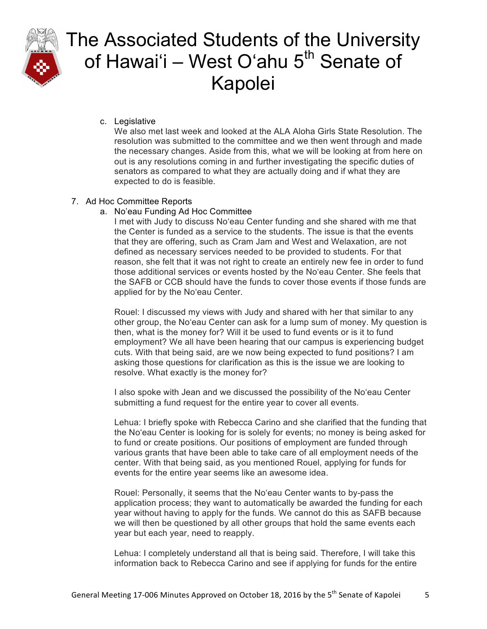

c. Legislative

We also met last week and looked at the ALA Aloha Girls State Resolution. The resolution was submitted to the committee and we then went through and made the necessary changes. Aside from this, what we will be looking at from here on out is any resolutions coming in and further investigating the specific duties of senators as compared to what they are actually doing and if what they are expected to do is feasible.

### 7. Ad Hoc Committee Reports

a. No'eau Funding Ad Hoc Committee

I met with Judy to discuss Noʻeau Center funding and she shared with me that the Center is funded as a service to the students. The issue is that the events that they are offering, such as Cram Jam and West and Welaxation, are not defined as necessary services needed to be provided to students. For that reason, she felt that it was not right to create an entirely new fee in order to fund those additional services or events hosted by the Noʻeau Center. She feels that the SAFB or CCB should have the funds to cover those events if those funds are applied for by the Noʻeau Center.

Rouel: I discussed my views with Judy and shared with her that similar to any other group, the Noʻeau Center can ask for a lump sum of money. My question is then, what is the money for? Will it be used to fund events or is it to fund employment? We all have been hearing that our campus is experiencing budget cuts. With that being said, are we now being expected to fund positions? I am asking those questions for clarification as this is the issue we are looking to resolve. What exactly is the money for?

I also spoke with Jean and we discussed the possibility of the Noʻeau Center submitting a fund request for the entire year to cover all events.

Lehua: I briefly spoke with Rebecca Carino and she clarified that the funding that the Noʻeau Center is looking for is solely for events; no money is being asked for to fund or create positions. Our positions of employment are funded through various grants that have been able to take care of all employment needs of the center. With that being said, as you mentioned Rouel, applying for funds for events for the entire year seems like an awesome idea.

Rouel: Personally, it seems that the Noʻeau Center wants to by-pass the application process; they want to automatically be awarded the funding for each year without having to apply for the funds. We cannot do this as SAFB because we will then be questioned by all other groups that hold the same events each year but each year, need to reapply.

Lehua: I completely understand all that is being said. Therefore, I will take this information back to Rebecca Carino and see if applying for funds for the entire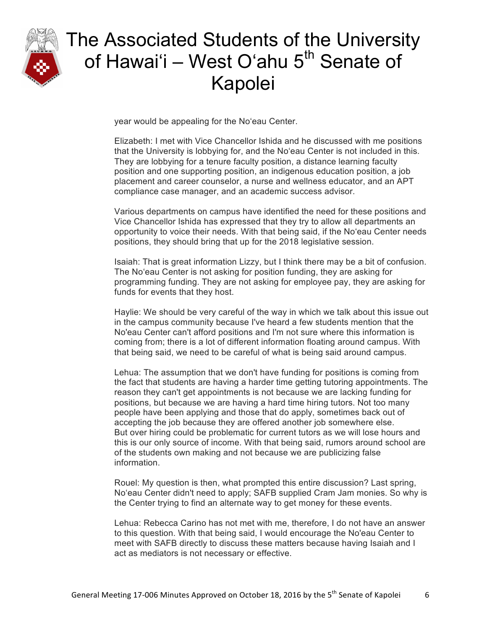

year would be appealing for the Noʻeau Center.

Elizabeth: I met with Vice Chancellor Ishida and he discussed with me positions that the University is lobbying for, and the Noʻeau Center is not included in this. They are lobbying for a tenure faculty position, a distance learning faculty position and one supporting position, an indigenous education position, a job placement and career counselor, a nurse and wellness educator, and an APT compliance case manager, and an academic success advisor.

Various departments on campus have identified the need for these positions and Vice Chancellor Ishida has expressed that they try to allow all departments an opportunity to voice their needs. With that being said, if the Noʻeau Center needs positions, they should bring that up for the 2018 legislative session.

Isaiah: That is great information Lizzy, but I think there may be a bit of confusion. The Noʻeau Center is not asking for position funding, they are asking for programming funding. They are not asking for employee pay, they are asking for funds for events that they host.

Haylie: We should be very careful of the way in which we talk about this issue out in the campus community because I've heard a few students mention that the No'eau Center can't afford positions and I'm not sure where this information is coming from; there is a lot of different information floating around campus. With that being said, we need to be careful of what is being said around campus.

Lehua: The assumption that we don't have funding for positions is coming from the fact that students are having a harder time getting tutoring appointments. The reason they can't get appointments is not because we are lacking funding for positions, but because we are having a hard time hiring tutors. Not too many people have been applying and those that do apply, sometimes back out of accepting the job because they are offered another job somewhere else. But over hiring could be problematic for current tutors as we will lose hours and this is our only source of income. With that being said, rumors around school are of the students own making and not because we are publicizing false information.

Rouel: My question is then, what prompted this entire discussion? Last spring, Noʻeau Center didn't need to apply; SAFB supplied Cram Jam monies. So why is the Center trying to find an alternate way to get money for these events.

Lehua: Rebecca Carino has not met with me, therefore, I do not have an answer to this question. With that being said, I would encourage the No'eau Center to meet with SAFB directly to discuss these matters because having Isaiah and I act as mediators is not necessary or effective.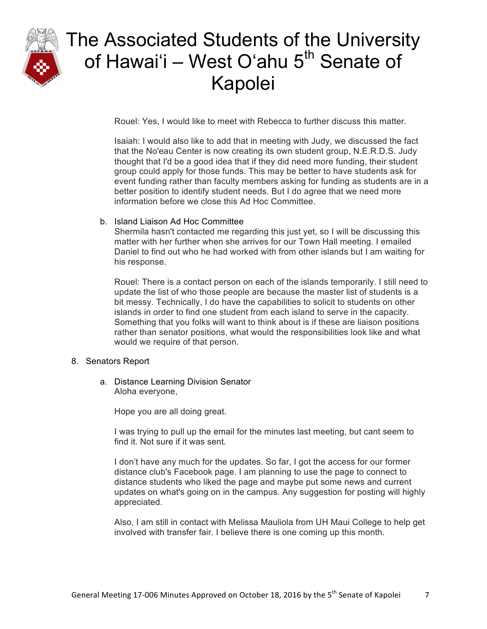

Rouel: Yes, I would like to meet with Rebecca to further discuss this matter.

Isaiah: I would also like to add that in meeting with Judy, we discussed the fact that the No'eau Center is now creating its own student group, N.E.R.D.S. Judy thought that I'd be a good idea that if they did need more funding, their student group could apply for those funds. This may be better to have students ask for event funding rather than faculty members asking for funding as students are in a better position to identify student needs. But I do agree that we need more information before we close this Ad Hoc Committee.

### b. Island Liaison Ad Hoc Committee

Shermila hasn't contacted me regarding this just yet, so I will be discussing this matter with her further when she arrives for our Town Hall meeting. I emailed Daniel to find out who he had worked with from other islands but I am waiting for his response.

Rouel: There is a contact person on each of the islands temporarily. I still need to update the list of who those people are because the master list of students is a bit messy. Technically, I do have the capabilities to solicit to students on other islands in order to find one student from each island to serve in the capacity. Something that you folks will want to think about is if these are liaison positions rather than senator positions, what would the responsibilities look like and what would we require of that person.

### 8. Senators Report

a. Distance Learning Division Senator Aloha everyone,

Hope you are all doing great.

I was trying to pull up the email for the minutes last meeting, but cant seem to find it. Not sure if it was sent.

I don't have any much for the updates. So far, I got the access for our former distance club's Facebook page. I am planning to use the page to connect to distance students who liked the page and maybe put some news and current updates on what's going on in the campus. Any suggestion for posting will highly appreciated.

Also, I am still in contact with Melissa Mauliola from UH Maui College to help get involved with transfer fair. I believe there is one coming up this month.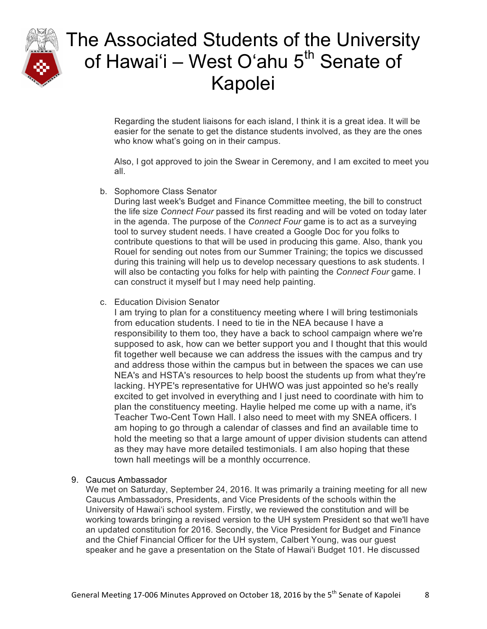

Regarding the student liaisons for each island, I think it is a great idea. It will be easier for the senate to get the distance students involved, as they are the ones who know what's going on in their campus.

Also, I got approved to join the Swear in Ceremony, and I am excited to meet you all.

b. Sophomore Class Senator

During last week's Budget and Finance Committee meeting, the bill to construct the life size *Connect Four* passed its first reading and will be voted on today later in the agenda. The purpose of the *Connect Four* game is to act as a surveying tool to survey student needs. I have created a Google Doc for you folks to contribute questions to that will be used in producing this game. Also, thank you Rouel for sending out notes from our Summer Training; the topics we discussed during this training will help us to develop necessary questions to ask students. I will also be contacting you folks for help with painting the *Connect Four* game. I can construct it myself but I may need help painting.

c. Education Division Senator

I am trying to plan for a constituency meeting where I will bring testimonials from education students. I need to tie in the NEA because I have a responsibility to them too, they have a back to school campaign where we're supposed to ask, how can we better support you and I thought that this would fit together well because we can address the issues with the campus and try and address those within the campus but in between the spaces we can use NEA's and HSTA's resources to help boost the students up from what they're lacking. HYPE's representative for UHWO was just appointed so he's really excited to get involved in everything and I just need to coordinate with him to plan the constituency meeting. Haylie helped me come up with a name, it's Teacher Two-Cent Town Hall. I also need to meet with my SNEA officers. I am hoping to go through a calendar of classes and find an available time to hold the meeting so that a large amount of upper division students can attend as they may have more detailed testimonials. I am also hoping that these town hall meetings will be a monthly occurrence.

9. Caucus Ambassador

We met on Saturday, September 24, 2016. It was primarily a training meeting for all new Caucus Ambassadors, Presidents, and Vice Presidents of the schools within the University of Hawaiʻi school system. Firstly, we reviewed the constitution and will be working towards bringing a revised version to the UH system President so that we'll have an updated constitution for 2016. Secondly, the Vice President for Budget and Finance and the Chief Financial Officer for the UH system, Calbert Young, was our guest speaker and he gave a presentation on the State of Hawaiʻi Budget 101. He discussed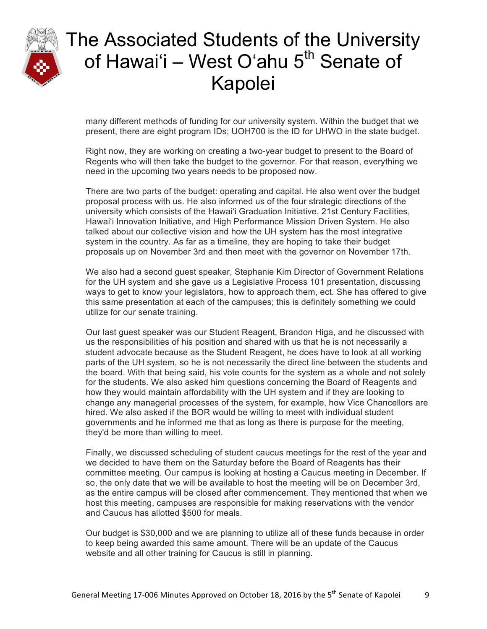

many different methods of funding for our university system. Within the budget that we present, there are eight program IDs; UOH700 is the ID for UHWO in the state budget.

Right now, they are working on creating a two-year budget to present to the Board of Regents who will then take the budget to the governor. For that reason, everything we need in the upcoming two years needs to be proposed now.

There are two parts of the budget: operating and capital. He also went over the budget proposal process with us. He also informed us of the four strategic directions of the university which consists of the Hawaiʻi Graduation Initiative, 21st Century Facilities, Hawaiʻi Innovation Initiative, and High Performance Mission Driven System. He also talked about our collective vision and how the UH system has the most integrative system in the country. As far as a timeline, they are hoping to take their budget proposals up on November 3rd and then meet with the governor on November 17th.

We also had a second guest speaker, Stephanie Kim Director of Government Relations for the UH system and she gave us a Legislative Process 101 presentation, discussing ways to get to know your legislators, how to approach them, ect. She has offered to give this same presentation at each of the campuses; this is definitely something we could utilize for our senate training.

Our last guest speaker was our Student Reagent, Brandon Higa, and he discussed with us the responsibilities of his position and shared with us that he is not necessarily a student advocate because as the Student Reagent, he does have to look at all working parts of the UH system, so he is not necessarily the direct line between the students and the board. With that being said, his vote counts for the system as a whole and not solely for the students. We also asked him questions concerning the Board of Reagents and how they would maintain affordability with the UH system and if they are looking to change any managerial processes of the system, for example, how Vice Chancellors are hired. We also asked if the BOR would be willing to meet with individual student governments and he informed me that as long as there is purpose for the meeting, they'd be more than willing to meet.

Finally, we discussed scheduling of student caucus meetings for the rest of the year and we decided to have them on the Saturday before the Board of Reagents has their committee meeting. Our campus is looking at hosting a Caucus meeting in December. If so, the only date that we will be available to host the meeting will be on December 3rd, as the entire campus will be closed after commencement. They mentioned that when we host this meeting, campuses are responsible for making reservations with the vendor and Caucus has allotted \$500 for meals.

Our budget is \$30,000 and we are planning to utilize all of these funds because in order to keep being awarded this same amount. There will be an update of the Caucus website and all other training for Caucus is still in planning.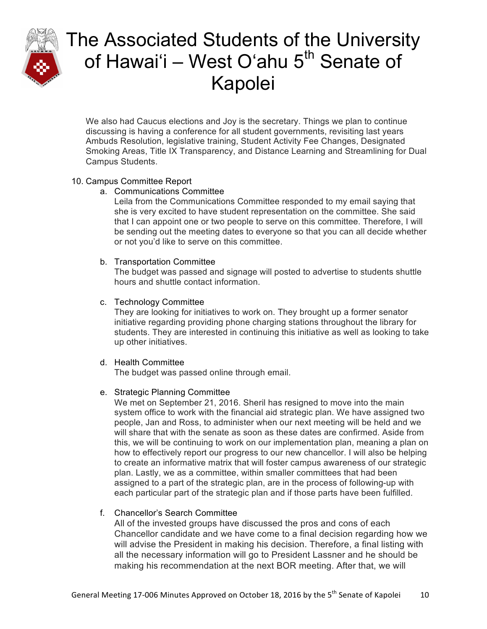

We also had Caucus elections and Joy is the secretary. Things we plan to continue discussing is having a conference for all student governments, revisiting last years Ambuds Resolution, legislative training, Student Activity Fee Changes, Designated Smoking Areas, Title IX Transparency, and Distance Learning and Streamlining for Dual Campus Students.

### 10. Campus Committee Report

### a. Communications Committee

Leila from the Communications Committee responded to my email saying that she is very excited to have student representation on the committee. She said that I can appoint one or two people to serve on this committee. Therefore, I will be sending out the meeting dates to everyone so that you can all decide whether or not you'd like to serve on this committee.

### b. Transportation Committee

The budget was passed and signage will posted to advertise to students shuttle hours and shuttle contact information.

c. Technology Committee

They are looking for initiatives to work on. They brought up a former senator initiative regarding providing phone charging stations throughout the library for students. They are interested in continuing this initiative as well as looking to take up other initiatives.

### d. Health Committee

The budget was passed online through email.

## e. Strategic Planning Committee

We met on September 21, 2016. Sheril has resigned to move into the main system office to work with the financial aid strategic plan. We have assigned two people, Jan and Ross, to administer when our next meeting will be held and we will share that with the senate as soon as these dates are confirmed. Aside from this, we will be continuing to work on our implementation plan, meaning a plan on how to effectively report our progress to our new chancellor. I will also be helping to create an informative matrix that will foster campus awareness of our strategic plan. Lastly, we as a committee, within smaller committees that had been assigned to a part of the strategic plan, are in the process of following-up with each particular part of the strategic plan and if those parts have been fulfilled.

## f. Chancellor's Search Committee

All of the invested groups have discussed the pros and cons of each Chancellor candidate and we have come to a final decision regarding how we will advise the President in making his decision. Therefore, a final listing with all the necessary information will go to President Lassner and he should be making his recommendation at the next BOR meeting. After that, we will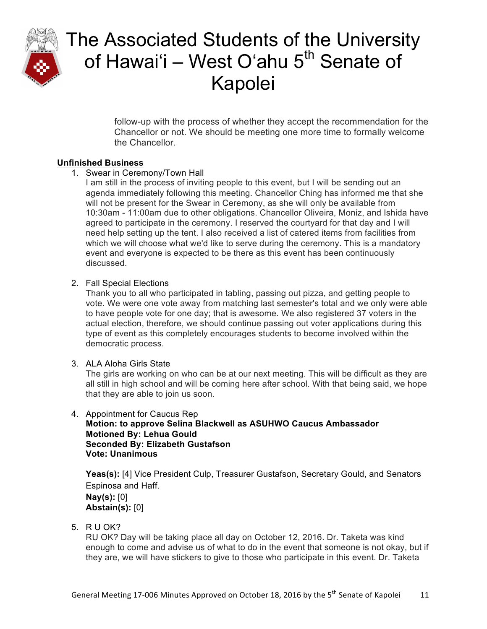

follow-up with the process of whether they accept the recommendation for the Chancellor or not. We should be meeting one more time to formally welcome the Chancellor.

### **Unfinished Business**

1. Swear in Ceremony/Town Hall

I am still in the process of inviting people to this event, but I will be sending out an agenda immediately following this meeting. Chancellor Ching has informed me that she will not be present for the Swear in Ceremony, as she will only be available from 10:30am - 11:00am due to other obligations. Chancellor Oliveira, Moniz, and Ishida have agreed to participate in the ceremony. I reserved the courtyard for that day and I will need help setting up the tent. I also received a list of catered items from facilities from which we will choose what we'd like to serve during the ceremony. This is a mandatory event and everyone is expected to be there as this event has been continuously discussed.

### 2. Fall Special Elections

Thank you to all who participated in tabling, passing out pizza, and getting people to vote. We were one vote away from matching last semester's total and we only were able to have people vote for one day; that is awesome. We also registered 37 voters in the actual election, therefore, we should continue passing out voter applications during this type of event as this completely encourages students to become involved within the democratic process.

## 3. ALA Aloha Girls State

The girls are working on who can be at our next meeting. This will be difficult as they are all still in high school and will be coming here after school. With that being said, we hope that they are able to join us soon.

#### 4. Appointment for Caucus Rep **Motion: to approve Selina Blackwell as ASUHWO Caucus Ambassador Motioned By: Lehua Gould Seconded By: Elizabeth Gustafson Vote: Unanimous**

Yeas(s): [4] Vice President Culp, Treasurer Gustafson, Secretary Gould, and Senators Espinosa and Haff.

**Nay(s):** [0] **Abstain(s):** [0]

5. R U OK?

RU OK? Day will be taking place all day on October 12, 2016. Dr. Taketa was kind enough to come and advise us of what to do in the event that someone is not okay, but if they are, we will have stickers to give to those who participate in this event. Dr. Taketa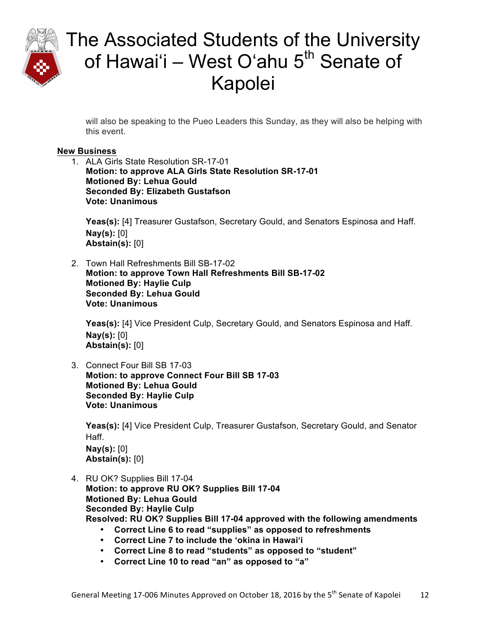

will also be speaking to the Pueo Leaders this Sunday, as they will also be helping with this event.

## **New Business**

1. ALA Girls State Resolution SR-17-01 **Motion: to approve ALA Girls State Resolution SR-17-01 Motioned By: Lehua Gould Seconded By: Elizabeth Gustafson Vote: Unanimous**

**Yeas(s):** [4] Treasurer Gustafson, Secretary Gould, and Senators Espinosa and Haff. **Nay(s):** [0] **Abstain(s):** [0]

2. Town Hall Refreshments Bill SB-17-02 **Motion: to approve Town Hall Refreshments Bill SB-17-02 Motioned By: Haylie Culp Seconded By: Lehua Gould Vote: Unanimous**

Yeas(s): [4] Vice President Culp, Secretary Gould, and Senators Espinosa and Haff. **Nay(s):** [0] **Abstain(s):** [0]

3. Connect Four Bill SB 17-03 **Motion: to approve Connect Four Bill SB 17-03 Motioned By: Lehua Gould Seconded By: Haylie Culp Vote: Unanimous**

**Yeas(s):** [4] Vice President Culp, Treasurer Gustafson, Secretary Gould, and Senator Haff. **Nay(s):** [0] **Abstain(s):** [0]

- 4. RU OK? Supplies Bill 17-04 **Motion: to approve RU OK? Supplies Bill 17-04 Motioned By: Lehua Gould Seconded By: Haylie Culp Resolved: RU OK? Supplies Bill 17-04 approved with the following amendments**
	- **Correct Line 6 to read "supplies" as opposed to refreshments**
	- **Correct Line 7 to include the ʻokina in Hawaiʻi**
	- **Correct Line 8 to read "students" as opposed to "student"**
	- **Correct Line 10 to read "an" as opposed to "a"**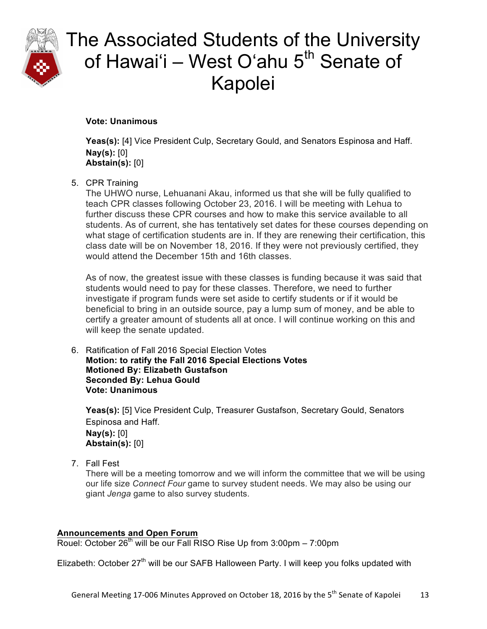

**Vote: Unanimous**

**Yeas(s):** [4] Vice President Culp, Secretary Gould, and Senators Espinosa and Haff. **Nay(s):** [0] **Abstain(s):** [0]

## 5. CPR Training

The UHWO nurse, Lehuanani Akau, informed us that she will be fully qualified to teach CPR classes following October 23, 2016. I will be meeting with Lehua to further discuss these CPR courses and how to make this service available to all students. As of current, she has tentatively set dates for these courses depending on what stage of certification students are in. If they are renewing their certification, this class date will be on November 18, 2016. If they were not previously certified, they would attend the December 15th and 16th classes.

As of now, the greatest issue with these classes is funding because it was said that students would need to pay for these classes. Therefore, we need to further investigate if program funds were set aside to certify students or if it would be beneficial to bring in an outside source, pay a lump sum of money, and be able to certify a greater amount of students all at once. I will continue working on this and will keep the senate updated.

6. Ratification of Fall 2016 Special Election Votes **Motion: to ratify the Fall 2016 Special Elections Votes Motioned By: Elizabeth Gustafson Seconded By: Lehua Gould Vote: Unanimous**

Yeas(s): [5] Vice President Culp, Treasurer Gustafson, Secretary Gould, Senators Espinosa and Haff. **Nay(s):** [0] **Abstain(s):** [0]

7. Fall Fest

There will be a meeting tomorrow and we will inform the committee that we will be using our life size *Connect Four* game to survey student needs. We may also be using our giant *Jenga* game to also survey students.

## **Announcements and Open Forum**

Rouel: October  $26<sup>th</sup>$  will be our Fall RISO Rise Up from 3:00pm – 7:00pm

Elizabeth: October 27<sup>th</sup> will be our SAFB Halloween Party. I will keep you folks updated with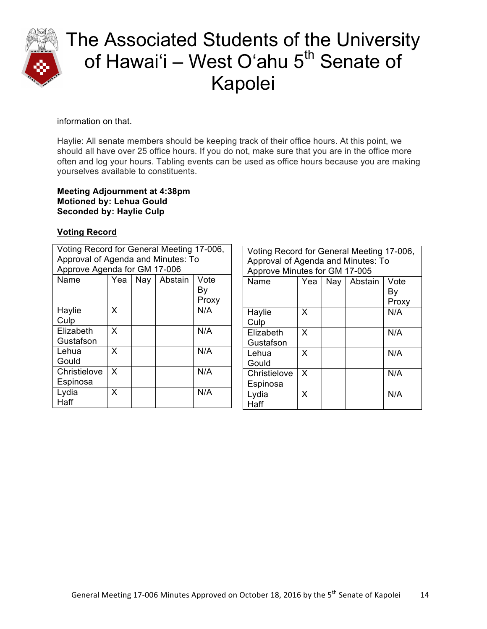

### information on that.

Haylie: All senate members should be keeping track of their office hours. At this point, we should all have over 25 office hours. If you do not, make sure that you are in the office more often and log your hours. Tabling events can be used as office hours because you are making yourselves available to constituents.

#### **Meeting Adjournment at 4:38pm Motioned by: Lehua Gould Seconded by: Haylie Culp**

### **Voting Record**

| Voting Record for General Meeting 17-006, |                              |  |  |       |  |  |
|-------------------------------------------|------------------------------|--|--|-------|--|--|
| Approval of Agenda and Minutes: To        |                              |  |  |       |  |  |
| Approve Agenda for GM 17-006              |                              |  |  |       |  |  |
| Name                                      | Yea<br>Nay   Abstain<br>Vote |  |  |       |  |  |
|                                           |                              |  |  | Bγ    |  |  |
|                                           |                              |  |  | Proxy |  |  |
| Haylie                                    | x                            |  |  | N/A   |  |  |
| Culp                                      |                              |  |  |       |  |  |
| Elizabeth                                 | x                            |  |  | N/A   |  |  |
| Gustafson                                 |                              |  |  |       |  |  |
| Lehua                                     | X                            |  |  | N/A   |  |  |
| Gould                                     |                              |  |  |       |  |  |
| Christielove                              | X                            |  |  | N/A   |  |  |
| Espinosa                                  |                              |  |  |       |  |  |
| Lydia                                     | x                            |  |  | N/A   |  |  |
| Haff                                      |                              |  |  |       |  |  |

| Voting Record for General Meeting 17-006, |     |  |               |       |  |
|-------------------------------------------|-----|--|---------------|-------|--|
| Approval of Agenda and Minutes: To        |     |  |               |       |  |
| Approve Minutes for GM 17-005             |     |  |               |       |  |
| Name                                      | Yea |  | Nay   Abstain | Vote  |  |
|                                           |     |  |               | Bγ    |  |
|                                           |     |  |               | Proxy |  |
| Haylie                                    | x   |  |               | N/A   |  |
| Culp                                      |     |  |               |       |  |
| Elizabeth                                 | X   |  |               | N/A   |  |
| Gustafson                                 |     |  |               |       |  |
| Lehua                                     | X   |  |               | N/A   |  |
| Gould                                     |     |  |               |       |  |
| Christielove                              | X   |  |               | N/A   |  |
| Espinosa                                  |     |  |               |       |  |
| Lydia                                     | X   |  |               | N/A   |  |
| Haff                                      |     |  |               |       |  |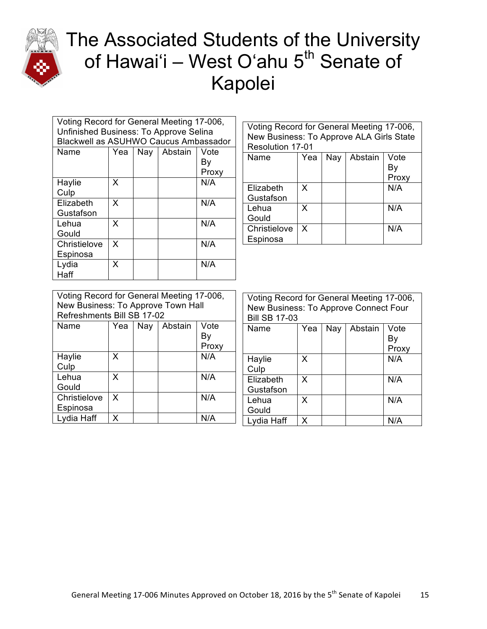

| Voting Record for General Meeting 17-006, |                              |  |  |       |  |
|-------------------------------------------|------------------------------|--|--|-------|--|
| Unfinished Business: To Approve Selina    |                              |  |  |       |  |
| Blackwell as ASUHWO Caucus Ambassador     |                              |  |  |       |  |
| Name                                      | Nay   Abstain<br>Yea<br>Vote |  |  |       |  |
|                                           |                              |  |  | Bγ    |  |
|                                           |                              |  |  | Proxy |  |
| Haylie                                    | X                            |  |  | N/A   |  |
| Culp                                      |                              |  |  |       |  |
| Elizabeth                                 | x                            |  |  | N/A   |  |
| Gustafson                                 |                              |  |  |       |  |
| Lehua                                     | X                            |  |  | N/A   |  |
| Gould                                     |                              |  |  |       |  |
| Christielove                              | X                            |  |  | N/A   |  |
| Espinosa                                  |                              |  |  |       |  |
| Lydia                                     | x                            |  |  | N/A   |  |
| Haff                                      |                              |  |  |       |  |

| Voting Record for General Meeting 17-006,<br>New Business: To Approve ALA Girls State<br><b>Resolution 17-01</b> |                                              |  |  |     |  |  |
|------------------------------------------------------------------------------------------------------------------|----------------------------------------------|--|--|-----|--|--|
| Name                                                                                                             | Abstain<br>Vote<br>Yea<br>Nay<br>Bγ<br>Proxy |  |  |     |  |  |
| Elizabeth<br>Gustafson                                                                                           | x                                            |  |  | N/A |  |  |
| Lehua<br>Gould                                                                                                   | x                                            |  |  | N/A |  |  |
| Christielove<br>N/A<br>X<br>Espinosa                                                                             |                                              |  |  |     |  |  |

| Voting Record for General Meeting 17-006,<br>New Business: To Approve Town Hall<br>Refreshments Bill SB 17-02 |   |  |  |     |  |  |
|---------------------------------------------------------------------------------------------------------------|---|--|--|-----|--|--|
| Nay<br>Vote<br>Name<br>Yea<br>Abstain<br>Bγ<br>Proxy                                                          |   |  |  |     |  |  |
| Haylie<br>Culp                                                                                                | x |  |  | N/A |  |  |
| Lehua<br>Gould                                                                                                | x |  |  | N/A |  |  |
| X<br>N/A<br>Christielove<br>Espinosa                                                                          |   |  |  |     |  |  |
| Lydia Haff                                                                                                    | x |  |  | N/A |  |  |

| Voting Record for General Meeting 17-006,<br>New Business: To Approve Connect Four<br><b>Bill SB 17-03</b> |     |     |         |       |  |  |
|------------------------------------------------------------------------------------------------------------|-----|-----|---------|-------|--|--|
| Name                                                                                                       | Yea | Nay | Abstain | Vote  |  |  |
|                                                                                                            |     |     |         | By    |  |  |
|                                                                                                            |     |     |         | Proxy |  |  |
| Haylie                                                                                                     | X   |     |         | N/A   |  |  |
| Culp                                                                                                       |     |     |         |       |  |  |
| Elizabeth                                                                                                  | X   |     |         | N/A   |  |  |
| Gustafson                                                                                                  |     |     |         |       |  |  |
| Lehua                                                                                                      | X   |     |         | N/A   |  |  |
| Gould                                                                                                      |     |     |         |       |  |  |
| Lydia Haff                                                                                                 | x   |     |         | N/A   |  |  |